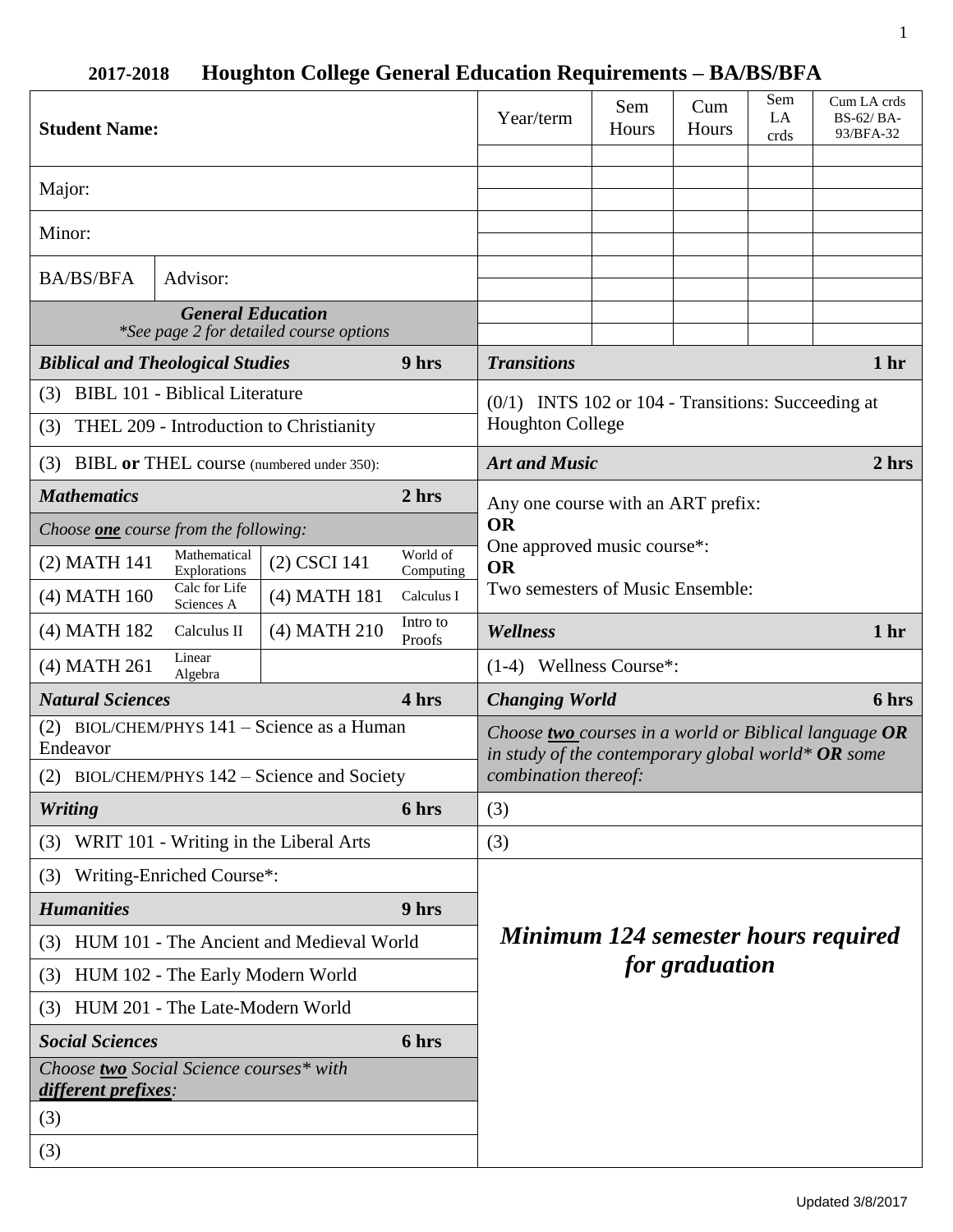| <b>Student Name:</b>                                                |                              |              |                               | Year/term                                                                                                     | Sem<br>Hours | Cum<br>Hours | Sem<br>LA<br>crds | Cum LA crds<br>BS-62/BA-<br>93/BFA-32 |
|---------------------------------------------------------------------|------------------------------|--------------|-------------------------------|---------------------------------------------------------------------------------------------------------------|--------------|--------------|-------------------|---------------------------------------|
| Major:                                                              |                              |              |                               |                                                                                                               |              |              |                   |                                       |
| Minor:                                                              |                              |              |                               |                                                                                                               |              |              |                   |                                       |
| <b>BA/BS/BFA</b>                                                    | Advisor:                     |              |                               |                                                                                                               |              |              |                   |                                       |
| <b>General Education</b><br>*See page 2 for detailed course options |                              |              |                               |                                                                                                               |              |              |                   |                                       |
| <b>Biblical and Theological Studies</b>                             |                              |              | 9 hrs                         | <b>Transitions</b>                                                                                            |              |              |                   | 1 <sub>hr</sub>                       |
| (3) BIBL 101 - Biblical Literature                                  |                              |              |                               | $(0/1)$ INTS 102 or 104 - Transitions: Succeeding at                                                          |              |              |                   |                                       |
| (3) THEL 209 - Introduction to Christianity                         |                              |              | <b>Houghton College</b>       |                                                                                                               |              |              |                   |                                       |
| (3) BIBL or THEL course (numbered under 350):                       |                              |              | <b>Art and Music</b><br>2 hrs |                                                                                                               |              |              |                   |                                       |
| <b>Mathematics</b>                                                  |                              |              | 2 hrs                         | Any one course with an ART prefix:<br><b>OR</b>                                                               |              |              |                   |                                       |
| Choose <b>one</b> course from the following:                        |                              |              |                               |                                                                                                               |              |              |                   |                                       |
| (2) MATH 141                                                        | Mathematical<br>Explorations | (2) CSCI 141 | World of<br>Computing         | One approved music course*:<br><b>OR</b>                                                                      |              |              |                   |                                       |
| $(4)$ MATH $160$                                                    | Calc for Life<br>Sciences A  | (4) MATH 181 | Calculus I                    | Two semesters of Music Ensemble:                                                                              |              |              |                   |                                       |
| (4) MATH 182                                                        | Calculus II                  | (4) MATH 210 | Intro to<br>Proofs            | Wellness                                                                                                      |              |              |                   | 1 <sub>hr</sub>                       |
| (4) MATH 261                                                        | Linear<br>Algebra            |              |                               | $(1-4)$ Wellness Course*:                                                                                     |              |              |                   |                                       |
| <b>Natural Sciences</b><br>4 hrs                                    |                              |              |                               | 6 hrs<br><b>Changing World</b>                                                                                |              |              |                   |                                       |
| (2) BIOL/CHEM/PHYS 141 - Science as a Human<br>Endeavor             |                              |              |                               | Choose two courses in a world or Biblical language $OR$<br>in study of the contemporary global world* OR some |              |              |                   |                                       |
| (2) BIOL/CHEM/PHYS 142 – Science and Society                        |                              |              | combination thereof:          |                                                                                                               |              |              |                   |                                       |
| <b>Writing</b>                                                      |                              |              | 6 hrs                         | (3)                                                                                                           |              |              |                   |                                       |
| (3) WRIT 101 - Writing in the Liberal Arts                          |                              |              |                               | (3)                                                                                                           |              |              |                   |                                       |
| (3) Writing-Enriched Course*:                                       |                              |              |                               |                                                                                                               |              |              |                   |                                       |
| <b>Humanities</b><br>9 hrs                                          |                              |              |                               |                                                                                                               |              |              |                   |                                       |
| (3) HUM 101 - The Ancient and Medieval World                        |                              |              |                               | <b>Minimum 124 semester hours required</b>                                                                    |              |              |                   |                                       |
| (3) HUM 102 - The Early Modern World                                |                              |              | for graduation                |                                                                                                               |              |              |                   |                                       |
| HUM 201 - The Late-Modern World<br>(3)                              |                              |              |                               |                                                                                                               |              |              |                   |                                       |
| <b>Social Sciences</b><br>6 hrs                                     |                              |              |                               |                                                                                                               |              |              |                   |                                       |
| Choose two Social Science courses* with<br>different prefixes:      |                              |              |                               |                                                                                                               |              |              |                   |                                       |
| (3)                                                                 |                              |              |                               |                                                                                                               |              |              |                   |                                       |
| (3)                                                                 |                              |              |                               |                                                                                                               |              |              |                   |                                       |

# **2017-2018 Houghton College General Education Requirements – BA/BS/BFA**